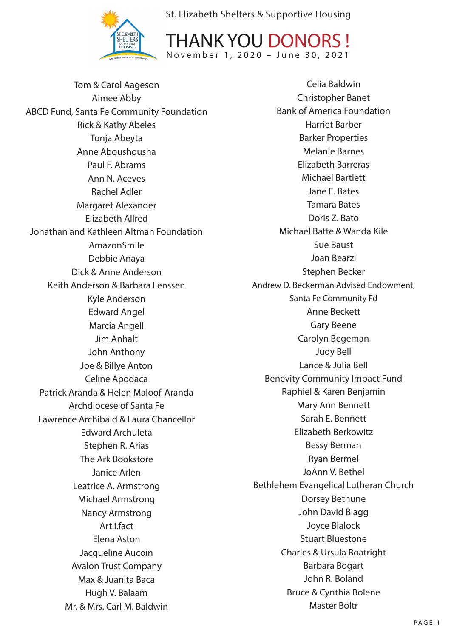



Tom & Carol Aageson Aimee Abby ABCD Fund, Santa Fe Community Foundation Rick & Kathy Abeles Tonja Abeyta Anne Aboushousha Paul F. Abrams Ann N. Aceves Rachel Adler Margaret Alexander Elizabeth Allred Jonathan and Kathleen Altman Foundation AmazonSmile Debbie Anaya Dick & Anne Anderson Keith Anderson & Barbara Lenssen Kyle Anderson Edward Angel Marcia Angell Jim Anhalt John Anthony Joe & Billye Anton Celine Apodaca Patrick Aranda & Helen Maloof-Aranda Archdiocese of Santa Fe Lawrence Archibald & Laura Chancellor Edward Archuleta Stephen R. Arias The Ark Bookstore Janice Arlen Leatrice A. Armstrong Michael Armstrong Nancy Armstrong Art.i.fact Elena Aston Jacqueline Aucoin Avalon Trust Company Max & Juanita Baca Hugh V. Balaam Mr. & Mrs. Carl M. Baldwin

Celia Baldwin Christopher Banet Bank of America Foundation Harriet Barber Barker Properties Melanie Barnes Elizabeth Barreras Michael Bartlett Jane E. Bates Tamara Bates Doris Z. Bato Michael Batte & Wanda Kile Sue Baust Joan Bearzi Stephen Becker Andrew D. Beckerman Advised Endowment, Santa Fe Community Fd Anne Beckett Gary Beene Carolyn Begeman Judy Bell Lance & Julia Bell Benevity Community Impact Fund Raphiel & Karen Benjamin Mary Ann Bennett Sarah E. Bennett Elizabeth Berkowitz Bessy Berman Ryan Bermel JoAnn V. Bethel Bethlehem Evangelical Lutheran Church Dorsey Bethune John David Blagg Joyce Blalock Stuart Bluestone Charles & Ursula Boatright Barbara Bogart John R. Boland Bruce & Cynthia Bolene Master Boltr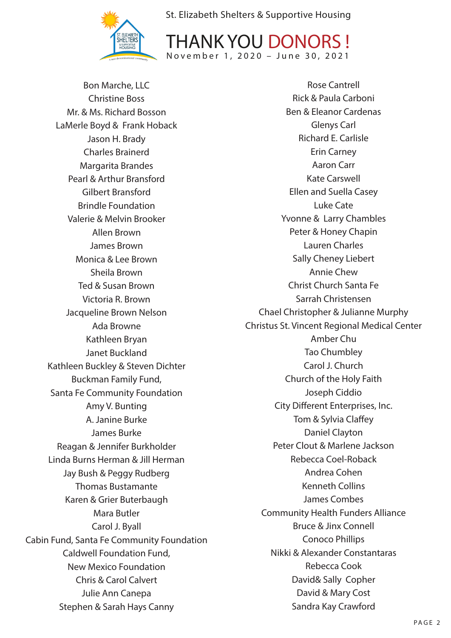



Bon Marche, LLC Christine Boss Mr. & Ms. Richard Bosson LaMerle Boyd & Frank Hoback Jason H. Brady Charles Brainerd Margarita Brandes Pearl & Arthur Bransford Gilbert Bransford Brindle Foundation Valerie & Melvin Brooker Allen Brown James Brown Monica & Lee Brown Sheila Brown Ted & Susan Brown Victoria R. Brown Jacqueline Brown Nelson Ada Browne Kathleen Bryan Janet Buckland Kathleen Buckley & Steven Dichter Buckman Family Fund, Santa Fe Community Foundation Amy V. Bunting A. Janine Burke James Burke Reagan & Jennifer Burkholder Linda Burns Herman & Jill Herman Jay Bush & Peggy Rudberg Thomas Bustamante Karen & Grier Buterbaugh Mara Butler Carol J. Byall Cabin Fund, Santa Fe Community Foundation Caldwell Foundation Fund, New Mexico Foundation Chris & Carol Calvert Julie Ann Canepa Stephen & Sarah Hays Canny

Rose Cantrell Rick & Paula Carboni Ben & Eleanor Cardenas Glenys Carl Richard E. Carlisle Erin Carney Aaron Carr Kate Carswell Ellen and Suella Casey Luke Cate Yvonne & Larry Chambles Peter & Honey Chapin Lauren Charles Sally Cheney Liebert Annie Chew Christ Church Santa Fe Sarrah Christensen Chael Christopher & Julianne Murphy Christus St. Vincent Regional Medical Center Amber Chu Tao Chumbley Carol J. Church Church of the Holy Faith Joseph Ciddio City Different Enterprises, Inc. Tom & Sylvia Claffey Daniel Clayton Peter Clout & Marlene Jackson Rebecca Coel-Roback Andrea Cohen Kenneth Collins James Combes Community Health Funders Alliance Bruce & Jinx Connell Conoco Phillips Nikki & Alexander Constantaras Rebecca Cook David& Sally Copher David & Mary Cost Sandra Kay Crawford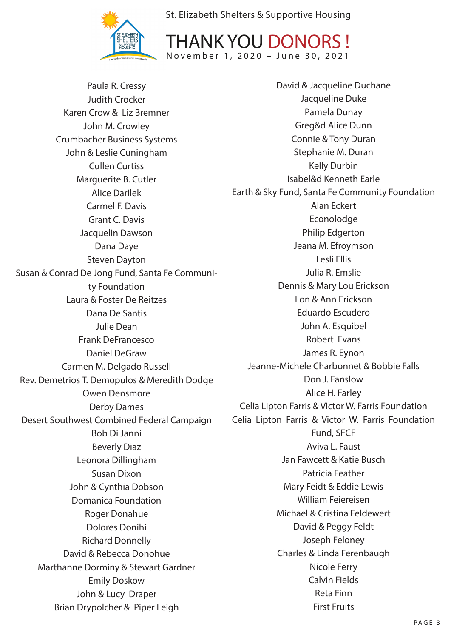

THANK YOU DONORS ! November 1, 2020 – June 30, 2021

Paula R. Cressy Judith Crocker Karen Crow & Liz Bremner John M. Crowley Crumbacher Business Systems John & Leslie Cuningham Cullen Curtiss Marguerite B. Cutler Alice Darilek Carmel F. Davis Grant C. Davis Jacquelin Dawson Dana Daye Steven Dayton Susan & Conrad De Jong Fund, Santa Fe Community Foundation Laura & Foster De Reitzes Dana De Santis Julie Dean Frank DeFrancesco Daniel DeGraw Carmen M. Delgado Russell Rev. Demetrios T. Demopulos & Meredith Dodge Owen Densmore Derby Dames Desert Southwest Combined Federal Campaign Bob Di Janni Beverly Diaz Leonora Dillingham Susan Dixon John & Cynthia Dobson Domanica Foundation Roger Donahue Dolores Donihi Richard Donnelly David & Rebecca Donohue Marthanne Dorminy & Stewart Gardner Emily Doskow John & Lucy Draper Brian Drypolcher & Piper Leigh David & Jacqueline Duchane Jacqueline Duke Pamela Dunay Greg&d Alice Dunn Connie & Tony Duran Stephanie M. Duran Kelly Durbin Isabel&d Kenneth Earle Earth & Sky Fund, Santa Fe Community Foundation Alan Eckert Econolodge Philip Edgerton Jeana M. Efroymson Lesli Ellis Julia R. Emslie Dennis & Mary Lou Erickson Lon & Ann Erickson Eduardo Escudero John A. Esquibel Robert Evans James R. Eynon Jeanne-Michele Charbonnet & Bobbie Falls Don J. Fanslow Alice H. Farley Celia Lipton Farris & Victor W. Farris Foundation Celia Lipton Farris & Victor W. Farris Foundation Fund, SFCF Aviva L. Faust Jan Fawcett & Katie Busch Patricia Feather Mary Feidt & Eddie Lewis William Feiereisen Michael & Cristina Feldewert David & Peggy Feldt Joseph Feloney Charles & Linda Ferenbaugh Nicole Ferry Calvin Fields Reta Finn First Fruits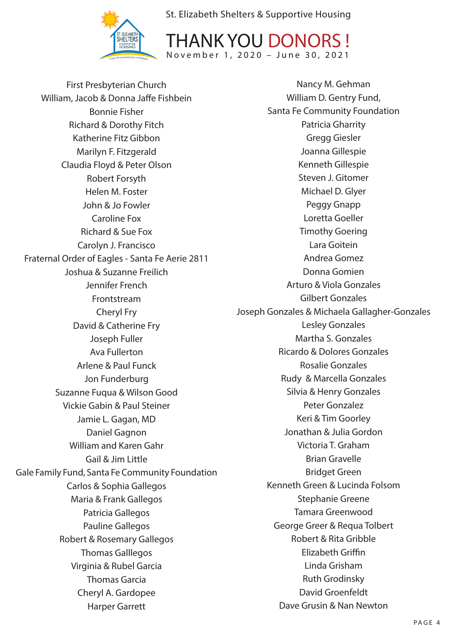



First Presbyterian Church William, Jacob & Donna Jaffe Fishbein Bonnie Fisher Richard & Dorothy Fitch Katherine Fitz Gibbon Marilyn F. Fitzgerald Claudia Floyd & Peter Olson Robert Forsyth Helen M. Foster John & Jo Fowler Caroline Fox Richard & Sue Fox Carolyn J. Francisco Fraternal Order of Eagles - Santa Fe Aerie 2811 Joshua & Suzanne Freilich Jennifer French Frontstream Cheryl Fry David & Catherine Fry Joseph Fuller Ava Fullerton Arlene & Paul Funck Jon Funderburg Suzanne Fuqua & Wilson Good Vickie Gabin & Paul Steiner Jamie L. Gagan, MD Daniel Gagnon William and Karen Gahr Gail & Jim Little Gale Family Fund, Santa Fe Community Foundation Carlos & Sophia Gallegos Maria & Frank Gallegos Patricia Gallegos Pauline Gallegos Robert & Rosemary Gallegos Thomas Galllegos Virginia & Rubel Garcia Thomas Garcia Cheryl A. Gardopee Harper Garrett

Nancy M. Gehman William D. Gentry Fund, Santa Fe Community Foundation Patricia Gharrity Gregg Giesler Joanna Gillespie Kenneth Gillespie Steven J. Gitomer Michael D. Glyer Peggy Gnapp Loretta Goeller Timothy Goering Lara Goitein Andrea Gomez Donna Gomien Arturo & Viola Gonzales Gilbert Gonzales Joseph Gonzales & Michaela Gallagher-Gonzales Lesley Gonzales Martha S. Gonzales Ricardo & Dolores Gonzales Rosalie Gonzales Rudy & Marcella Gonzales Silvia & Henry Gonzales Peter Gonzalez Keri & Tim Goorley Jonathan & Julia Gordon Victoria T. Graham Brian Gravelle Bridget Green Kenneth Green & Lucinda Folsom Stephanie Greene Tamara Greenwood George Greer & Requa Tolbert Robert & Rita Gribble Elizabeth Griffin Linda Grisham Ruth Grodinsky David Groenfeldt Dave Grusin & Nan Newton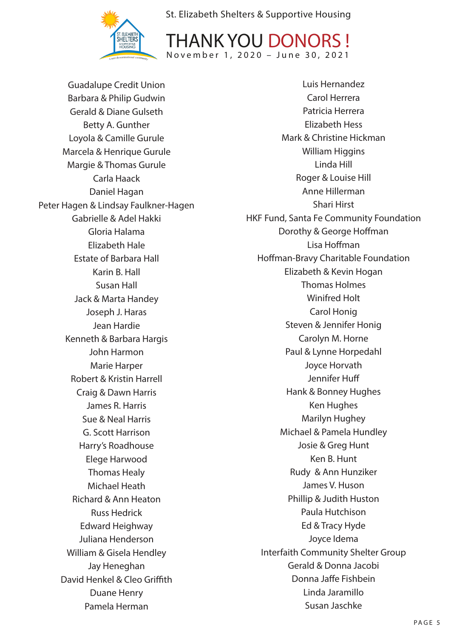



Guadalupe Credit Union Barbara & Philip Gudwin Gerald & Diane Gulseth Betty A. Gunther Loyola & Camille Gurule Marcela & Henrique Gurule Margie & Thomas Gurule Carla Haack Daniel Hagan Peter Hagen & Lindsay Faulkner-Hagen Gabrielle & Adel Hakki Gloria Halama Elizabeth Hale Estate of Barbara Hall Karin B. Hall Susan Hall Jack & Marta Handey Joseph J. Haras Jean Hardie Kenneth & Barbara Hargis John Harmon Marie Harper Robert & Kristin Harrell Craig & Dawn Harris James R. Harris Sue & Neal Harris G. Scott Harrison Harry's Roadhouse Elege Harwood Thomas Healy Michael Heath Richard & Ann Heaton Russ Hedrick Edward Heighway Juliana Henderson William & Gisela Hendley Jay Heneghan David Henkel & Cleo Griffith Duane Henry Pamela Herman

Luis Hernandez Carol Herrera Patricia Herrera Elizabeth Hess Mark & Christine Hickman William Higgins Linda Hill Roger & Louise Hill Anne Hillerman Shari Hirst HKF Fund, Santa Fe Community Foundation Dorothy & George Hoffman Lisa Hoffman Hoffman-Bravy Charitable Foundation Elizabeth & Kevin Hogan Thomas Holmes Winifred Holt Carol Honig Steven & Jennifer Honig Carolyn M. Horne Paul & Lynne Horpedahl Joyce Horvath Jennifer Huff Hank & Bonney Hughes Ken Hughes Marilyn Hughey Michael & Pamela Hundley Josie & Greg Hunt Ken B. Hunt Rudy & Ann Hunziker James V. Huson Phillip & Judith Huston Paula Hutchison Ed & Tracy Hyde Joyce Idema Interfaith Community Shelter Group Gerald & Donna Jacobi Donna Jaffe Fishbein Linda Jaramillo Susan Jaschke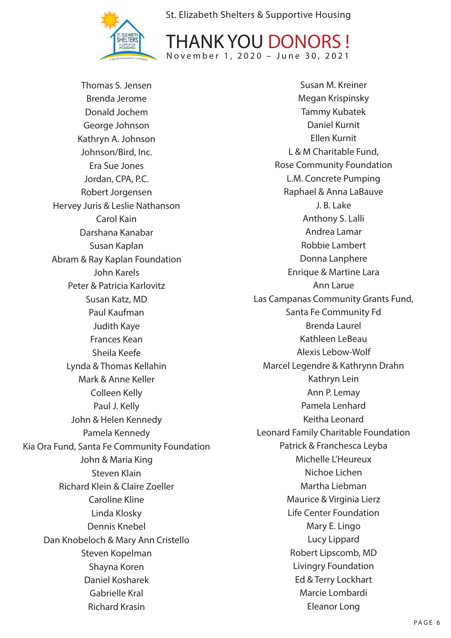



Thomas S. Jensen Brenda Jerome Donald Jochem George Johnson Kathryn A. Johnson Johnson/Bird, Inc. Era Sue Jones Jordan, CPA, P.C. Robert Jorgensen Hervey Juris & Leslie Nathanson Carol Kain Darshana Kanabar Susan Kaplan Abram & Ray Kaplan Foundation John Karels Peter & Patricia Karlovitz Susan Katz, MD Paul Kaufman Judith Kaye Frances Kean Sheila Keefe Lynda & Thomas Kellahin Mark & Anne Keller Colleen Kelly Paul J. Kelly John & Helen Kennedy Pamela Kennedy Kia Ora Fund, Santa Fe Community Foundation John & Maria King Steven Klain Richard Klein & Claire Zoeller Caroline Kline Linda Klosky Dennis Knebel Dan Knobeloch & Mary Ann Cristello Steven Kopelman Shayna Koren Daniel Kosharek Gabrielle Kral Richard Krasin

Susan M. Kreiner Megan Krispinsky Tammy Kubatek Daniel Kurnit Ellen Kurnit L & M Charitable Fund, Rose Community Foundation L.M. Concrete Pumping Raphael & Anna LaBauve J. B. Lake Anthony S. Lalli Andrea Lamar Robbie Lambert Donna Lanphere Enrique & Martine Lara Ann Larue Las Campanas Community Grants Fund, Santa Fe Community Fd Brenda Laurel Kathleen LeBeau Alexis Lebow-Wolf Marcel Legendre & Kathrynn Drahn Kathryn Lein Ann P. Lemay Pamela Lenhard Keitha Leonard Leonard Family Charitable Foundation Patrick & Franchesca Leyba Michelle L'Heureux Nichoe Lichen Martha Liebman Maurice & Virginia Lierz Life Center Foundation Mary E. Lingo Lucy Lippard Robert Lipscomb, MD Livingry Foundation Ed & Terry Lockhart Marcie Lombardi Eleanor Long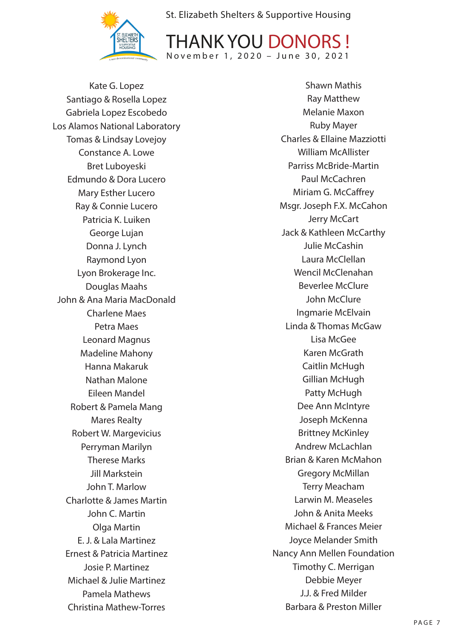



Kate G. Lopez Santiago & Rosella Lopez Gabriela Lopez Escobedo Los Alamos National Laboratory Tomas & Lindsay Lovejoy Constance A. Lowe Bret Luboyeski Edmundo & Dora Lucero Mary Esther Lucero Ray & Connie Lucero Patricia K. Luiken George Lujan Donna J. Lynch Raymond Lyon Lyon Brokerage Inc. Douglas Maahs John & Ana Maria MacDonald Charlene Maes Petra Maes Leonard Magnus Madeline Mahony Hanna Makaruk Nathan Malone Eileen Mandel Robert & Pamela Mang Mares Realty Robert W. Margevicius Perryman Marilyn Therese Marks Jill Markstein John T. Marlow Charlotte & James Martin John C. Martin Olga Martin E. J. & Lala Martinez Ernest & Patricia Martinez Josie P. Martinez Michael & Julie Martinez Pamela Mathews Christina Mathew-Torres

Shawn Mathis Ray Matthew Melanie Maxon Ruby Mayer Charles & Ellaine Mazziotti William McAllister Parriss McBride-Martin Paul McCachren Miriam G. McCaffrey Msgr. Joseph F.X. McCahon Jerry McCart Jack & Kathleen McCarthy Julie McCashin Laura McClellan Wencil McClenahan Beverlee McClure John McClure Ingmarie McElvain Linda & Thomas McGaw Lisa McGee Karen McGrath Caitlin McHugh Gillian McHugh Patty McHugh Dee Ann McIntyre Joseph McKenna Brittney McKinley Andrew McLachlan Brian & Karen McMahon Gregory McMillan Terry Meacham Larwin M. Measeles John & Anita Meeks Michael & Frances Meier Joyce Melander Smith Nancy Ann Mellen Foundation Timothy C. Merrigan Debbie Meyer J.J. & Fred Milder Barbara & Preston Miller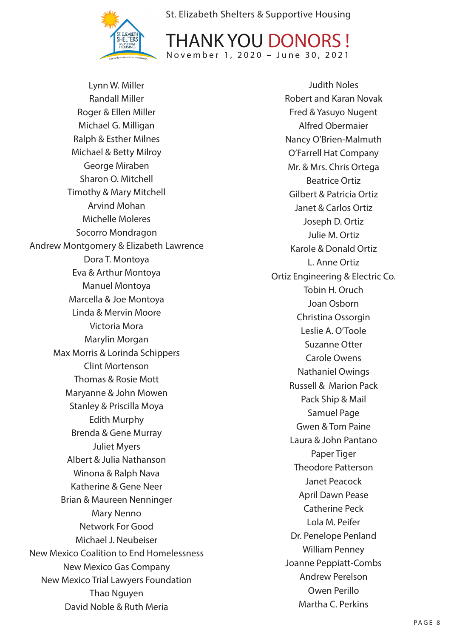



Lynn W. Miller Randall Miller Roger & Ellen Miller Michael G. Milligan Ralph & Esther Milnes Michael & Betty Milroy George Miraben Sharon O. Mitchell Timothy & Mary Mitchell Arvind Mohan Michelle Moleres Socorro Mondragon Andrew Montgomery & Elizabeth Lawrence Dora T. Montoya Eva & Arthur Montoya Manuel Montoya Marcella & Joe Montoya Linda & Mervin Moore Victoria Mora Marylin Morgan Max Morris & Lorinda Schippers Clint Mortenson Thomas & Rosie Mott Maryanne & John Mowen Stanley & Priscilla Moya Edith Murphy Brenda & Gene Murray Juliet Myers Albert & Julia Nathanson Winona & Ralph Nava Katherine & Gene Neer Brian & Maureen Nenninger Mary Nenno Network For Good Michael J. Neubeiser New Mexico Coalition to End Homelessness New Mexico Gas Company New Mexico Trial Lawyers Foundation Thao Nguyen David Noble & Ruth Meria

Judith Noles Robert and Karan Novak Fred & Yasuyo Nugent Alfred Obermaier Nancy O'Brien-Malmuth O'Farrell Hat Company Mr. & Mrs. Chris Ortega Beatrice Ortiz Gilbert & Patricia Ortiz Janet & Carlos Ortiz Joseph D. Ortiz Julie M. Ortiz Karole & Donald Ortiz L. Anne Ortiz Ortiz Engineering & Electric Co. Tobin H. Oruch Joan Osborn Christina Ossorgin Leslie A. O'Toole Suzanne Otter Carole Owens Nathaniel Owings Russell & Marion Pack Pack Ship & Mail Samuel Page Gwen & Tom Paine Laura & John Pantano Paper Tiger Theodore Patterson Janet Peacock April Dawn Pease Catherine Peck Lola M. Peifer Dr. Penelope Penland William Penney Joanne Peppiatt-Combs Andrew Perelson Owen Perillo Martha C. Perkins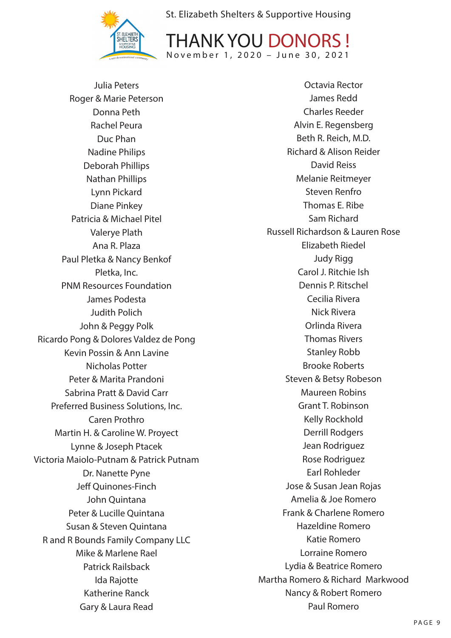



Julia Peters Roger & Marie Peterson Donna Peth Rachel Peura Duc Phan Nadine Philips Deborah Phillips Nathan Phillips Lynn Pickard Diane Pinkey Patricia & Michael Pitel Valerye Plath Ana R. Plaza Paul Pletka & Nancy Benkof Pletka, Inc. PNM Resources Foundation James Podesta Judith Polich John & Peggy Polk Ricardo Pong & Dolores Valdez de Pong Kevin Possin & Ann Lavine Nicholas Potter Peter & Marita Prandoni Sabrina Pratt & David Carr Preferred Business Solutions, Inc. Caren Prothro Martin H. & Caroline W. Proyect Lynne & Joseph Ptacek Victoria Maiolo-Putnam & Patrick Putnam Dr. Nanette Pyne Jeff Quinones-Finch John Quintana Peter & Lucille Quintana Susan & Steven Quintana R and R Bounds Family Company LLC Mike & Marlene Rael Patrick Railsback Ida Rajotte Katherine Ranck Gary & Laura Read

Octavia Rector James Redd Charles Reeder Alvin E. Regensberg Beth R. Reich, M.D. Richard & Alison Reider David Reiss Melanie Reitmeyer Steven Renfro Thomas E. Ribe Sam Richard Russell Richardson & Lauren Rose Elizabeth Riedel Judy Rigg Carol J. Ritchie Ish Dennis P. Ritschel Cecilia Rivera Nick Rivera Orlinda Rivera Thomas Rivers Stanley Robb Brooke Roberts Steven & Betsy Robeson Maureen Robins Grant T. Robinson Kelly Rockhold Derrill Rodgers Jean Rodriguez Rose Rodriguez Earl Rohleder Jose & Susan Jean Rojas Amelia & Joe Romero Frank & Charlene Romero Hazeldine Romero Katie Romero Lorraine Romero Lydia & Beatrice Romero Martha Romero & Richard Markwood Nancy & Robert Romero Paul Romero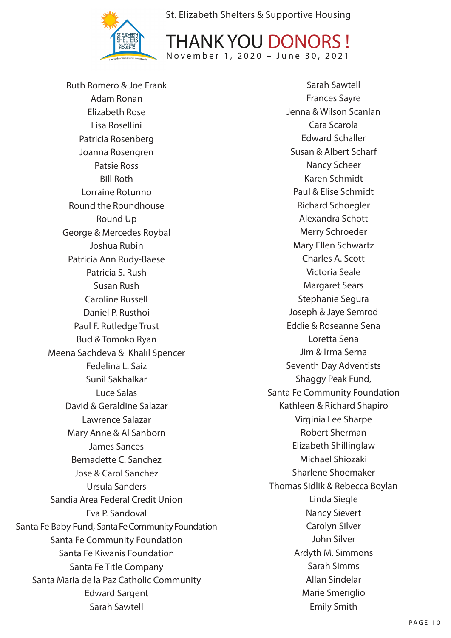

THANK YOU DONORS ! November 1, 2020 – June 30, 2021

Ruth Romero & Joe Frank Adam Ronan Elizabeth Rose Lisa Rosellini Patricia Rosenberg Joanna Rosengren Patsie Ross Bill Roth Lorraine Rotunno Round the Roundhouse Round Up George & Mercedes Roybal Joshua Rubin Patricia Ann Rudy-Baese Patricia S. Rush Susan Rush Caroline Russell Daniel P. Rusthoi Paul F. Rutledge Trust Bud & Tomoko Ryan Meena Sachdeva & Khalil Spencer Fedelina L. Saiz Sunil Sakhalkar Luce Salas David & Geraldine Salazar Lawrence Salazar Mary Anne & Al Sanborn James Sances Bernadette C. Sanchez Jose & Carol Sanchez Ursula Sanders Sandia Area Federal Credit Union Eva P. Sandoval Santa Fe Baby Fund, Santa Fe Community Foundation Santa Fe Community Foundation Santa Fe Kiwanis Foundation Santa Fe Title Company Santa Maria de la Paz Catholic Community Edward Sargent Sarah Sawtell

Sarah Sawtell Frances Sayre Jenna & Wilson Scanlan Cara Scarola Edward Schaller Susan & Albert Scharf Nancy Scheer Karen Schmidt Paul & Elise Schmidt Richard Schoegler Alexandra Schott Merry Schroeder Mary Ellen Schwartz Charles A. Scott Victoria Seale Margaret Sears Stephanie Segura Joseph & Jaye Semrod Eddie & Roseanne Sena Loretta Sena Jim & Irma Serna Seventh Day Adventists Shaggy Peak Fund, Santa Fe Community Foundation Kathleen & Richard Shapiro Virginia Lee Sharpe Robert Sherman Elizabeth Shillinglaw Michael Shiozaki Sharlene Shoemaker Thomas Sidlik & Rebecca Boylan Linda Siegle Nancy Sievert Carolyn Silver John Silver Ardyth M. Simmons Sarah Simms Allan Sindelar Marie Smeriglio Emily Smith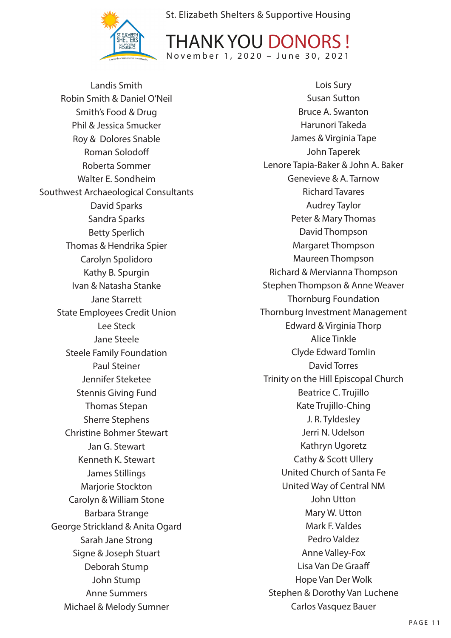



Landis Smith Robin Smith & Daniel O'Neil Smith's Food & Drug Phil & Jessica Smucker Roy & Dolores Snable Roman Solodoff Roberta Sommer Walter E. Sondheim Southwest Archaeological Consultants David Sparks Sandra Sparks Betty Sperlich Thomas & Hendrika Spier Carolyn Spolidoro Kathy B. Spurgin Ivan & Natasha Stanke Jane Starrett State Employees Credit Union Lee Steck Jane Steele Steele Family Foundation Paul Steiner Jennifer Steketee Stennis Giving Fund Thomas Stepan Sherre Stephens Christine Bohmer Stewart Jan G. Stewart Kenneth K. Stewart James Stillings Marjorie Stockton Carolyn & William Stone Barbara Strange George Strickland & Anita Ogard Sarah Jane Strong Signe & Joseph Stuart Deborah Stump John Stump Anne Summers Michael & Melody Sumner

Lois Sury Susan Sutton Bruce A. Swanton Harunori Takeda James & Virginia Tape John Taperek Lenore Tapia-Baker & John A. Baker Genevieve & A. Tarnow Richard Tavares Audrey Taylor Peter & Mary Thomas David Thompson Margaret Thompson Maureen Thompson Richard & Mervianna Thompson Stephen Thompson & Anne Weaver Thornburg Foundation Thornburg Investment Management Edward & Virginia Thorp Alice Tinkle Clyde Edward Tomlin David Torres Trinity on the Hill Episcopal Church Beatrice C. Trujillo Kate Trujillo-Ching J. R. Tyldesley Jerri N. Udelson Kathryn Ugoretz Cathy & Scott Ullery United Church of Santa Fe United Way of Central NM John Utton Mary W. Utton Mark F. Valdes Pedro Valdez Anne Valley-Fox Lisa Van De Graaff Hope Van Der Wolk Stephen & Dorothy Van Luchene Carlos Vasquez Bauer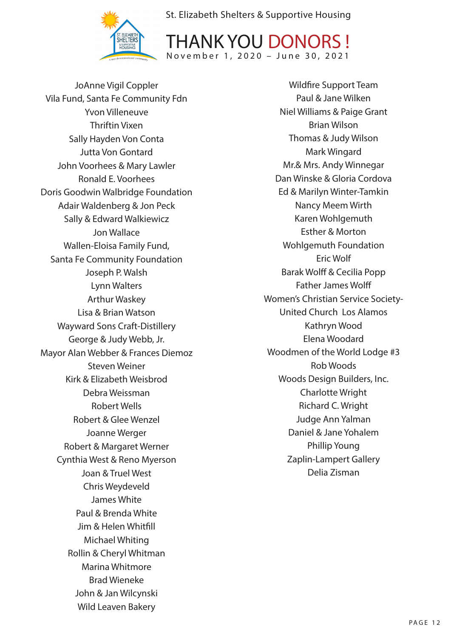



JoAnne Vigil Coppler Vila Fund, Santa Fe Community Fdn Yvon Villeneuve Thriftin Vixen Sally Hayden Von Conta Jutta Von Gontard John Voorhees & Mary Lawler Ronald E. Voorhees Doris Goodwin Walbridge Foundation Adair Waldenberg & Jon Peck Sally & Edward Walkiewicz Jon Wallace Wallen-Eloisa Family Fund, Santa Fe Community Foundation Joseph P. Walsh Lynn Walters Arthur Waskey Lisa & Brian Watson Wayward Sons Craft-Distillery George & Judy Webb, Jr. Mayor Alan Webber & Frances Diemoz Steven Weiner Kirk & Elizabeth Weisbrod Debra Weissman Robert Wells Robert & Glee Wenzel Joanne Werger Robert & Margaret Werner Cynthia West & Reno Myerson Joan & Truel West Chris Weydeveld James White Paul & Brenda White Jim & Helen Whitfill Michael Whiting Rollin & Cheryl Whitman Marina Whitmore Brad Wieneke John & Jan Wilcynski Wild Leaven Bakery

Wildfire Support Team Paul & Jane Wilken Niel Williams & Paige Grant Brian Wilson Thomas & Judy Wilson Mark Wingard Mr.& Mrs. Andy Winnegar Dan Winske & Gloria Cordova Ed & Marilyn Winter-Tamkin Nancy Meem Wirth Karen Wohlgemuth Esther & Morton Wohlgemuth Foundation Eric Wolf Barak Wolff & Cecilia Popp Father James Wolff Women's Christian Service Society-United Church Los Alamos Kathryn Wood Elena Woodard Woodmen of the World Lodge #3 Rob Woods Woods Design Builders, Inc. Charlotte Wright Richard C. Wright Judge Ann Yalman Daniel & Jane Yohalem Phillip Young Zaplin-Lampert Gallery Delia Zisman